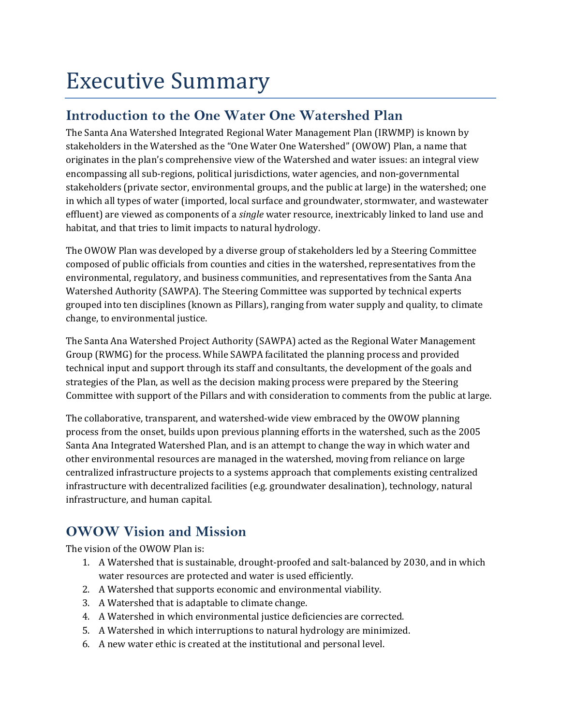# Executive Summary

## **Introduction to the One Water One Watershed Plan**

The Santa Ana Watershed Integrated Regional Water Management Plan (IRWMP) is known by stakeholders in the Watershed as the "One Water One Watershed" (OWOW) Plan, a name that originates in the plan's comprehensive view of the Watershed and water issues: an integral view encompassing all sub‐regions, political jurisdictions, water agencies, and non‐governmental stakeholders (private sector, environmental groups, and the public at large) in the watershed; one in which all types of water (imported, local surface and groundwater, stormwater, and wastewater effluent) are viewed as components of a *single* water resource, inextricably linked to land use and habitat, and that tries to limit impacts to natural hydrology.

The OWOW Plan was developed by a diverse group of stakeholders led by a Steering Committee composed of public officials from counties and cities in the watershed, representatives from the environmental, regulatory, and business communities, and representatives from the Santa Ana Watershed Authority (SAWPA). The Steering Committee was supported by technical experts grouped into ten disciplines (known as Pillars), ranging from water supply and quality, to climate change, to environmental justice.

The Santa Ana Watershed Project Authority (SAWPA) acted as the Regional Water Management Group (RWMG) for the process. While SAWPA facilitated the planning process and provided technical input and support through its staff and consultants, the development of the goals and strategies of the Plan, as well as the decision making process were prepared by the Steering Committee with support of the Pillars and with consideration to comments from the public at large.

The collaborative, transparent, and watershed-wide view embraced by the OWOW planning process from the onset, builds upon previous planning efforts in the watershed, such as the 2005 Santa Ana Integrated Watershed Plan, and is an attempt to change the way in which water and other environmental resources are managed in the watershed, moving from reliance on large centralized infrastructure projects to a systems approach that complements existing centralized infrastructure with decentralized facilities (e.g. groundwater desalination), technology, natural infrastructure, and human capital.

# **OWOW Vision and Mission**

The vision of the OWOW Plan is:

- 1. A Watershed that is sustainable, drought‐proofed and salt‐balanced by 2030, and in which water resources are protected and water is used efficiently.
- 2. A Watershed that supports economic and environmental viability.
- 3. A Watershed that is adaptable to climate change.
- 4. A Watershed in which environmental justice deficiencies are corrected.
- 5. A Watershed in which interruptions to natural hydrology are minimized.
- 6. A new water ethic is created at the institutional and personal level.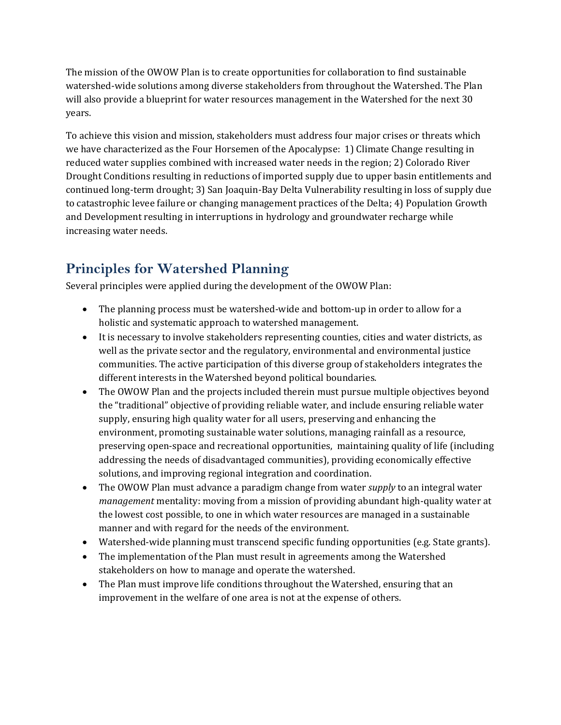The mission of the OWOW Plan is to create opportunities for collaboration to find sustainable watershed-wide solutions among diverse stakeholders from throughout the Watershed. The Plan will also provide a blueprint for water resources management in the Watershed for the next 30 years.

To achieve this vision and mission, stakeholders must address four major crises or threats which we have characterized as the Four Horsemen of the Apocalypse: 1) Climate Change resulting in reduced water supplies combined with increased water needs in the region; 2) Colorado River Drought Conditions resulting in reductions of imported supply due to upper basin entitlements and continued long‐term drought; 3) San Joaquin‐Bay Delta Vulnerability resulting in loss of supply due to catastrophic levee failure or changing management practices of the Delta; 4) Population Growth and Development resulting in interruptions in hydrology and groundwater recharge while increasing water needs.

# **Principles for Watershed Planning**

Several principles were applied during the development of the OWOW Plan:

- The planning process must be watershed-wide and bottom-up in order to allow for a holistic and systematic approach to watershed management.
- It is necessary to involve stakeholders representing counties, cities and water districts, as well as the private sector and the regulatory, environmental and environmental justice communities. The active participation of this diverse group of stakeholders integrates the different interests in the Watershed beyond political boundaries.
- The OWOW Plan and the projects included therein must pursue multiple objectives beyond the "traditional" objective of providing reliable water, and include ensuring reliable water supply, ensuring high quality water for all users, preserving and enhancing the environment, promoting sustainable water solutions, managing rainfall as a resource, preserving open‐space and recreational opportunities, maintaining quality of life (including addressing the needs of disadvantaged communities), providing economically effective solutions, and improving regional integration and coordination.
- The OWOW Plan must advance a paradigm change from water *supply* to an integral water *management* mentality: moving from a mission of providing abundant high-quality water at the lowest cost possible, to one in which water resources are managed in a sustainable manner and with regard for the needs of the environment.
- Watershed-wide planning must transcend specific funding opportunities (e.g. State grants).
- The implementation of the Plan must result in agreements among the Watershed stakeholders on how to manage and operate the watershed.
- The Plan must improve life conditions throughout the Watershed, ensuring that an improvement in the welfare of one area is not at the expense of others.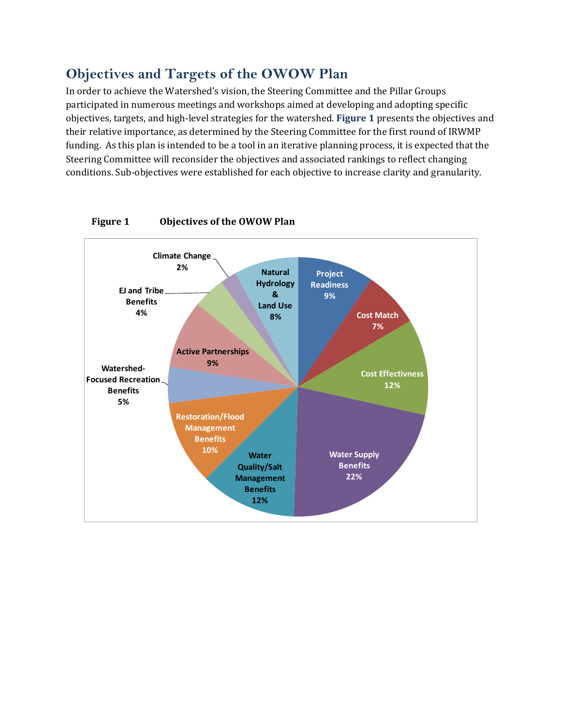### **Objectives and Targets of the OWOW Plan**

In order to achieve the Watershed's vision, the Steering Committee and the Pillar Groups participated in numerous meetings and workshops aimed at developing and adopting specific objectives, targets, and high‐level strategies for the watershed. **Figure 1** presents the objectives and their relative importance, as determined by the Steering Committee for the first round of IRWMP funding. As this plan is intended to be a tool in an iterative planning process, it is expected that the Steering Committee will reconsider the objectives and associated rankings to reflect changing conditions. Sub‐objectives were established for each objective to increase clarity and granularity.



#### **Figure 1 Objectives of the OWOW Plan**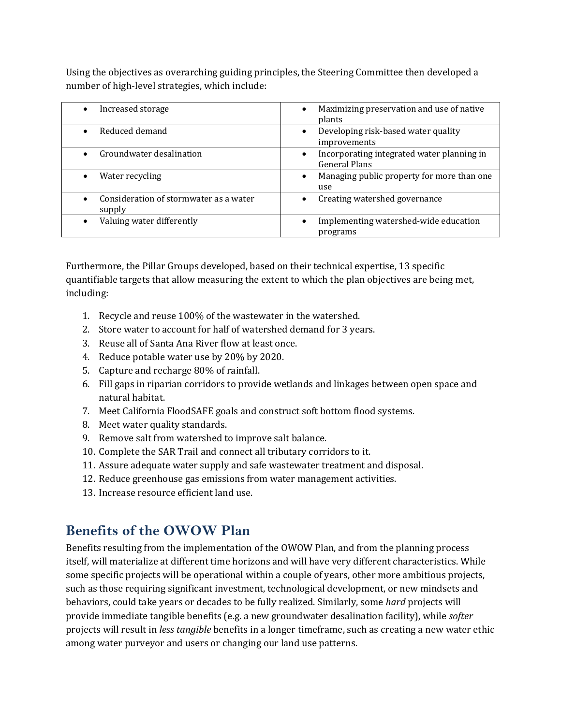Using the objectives as overarching guiding principles, the Steering Committee then developed a number of high‐level strategies, which include:

| Increased storage                                | Maximizing preservation and use of native<br>$\bullet$<br>plants         |
|--------------------------------------------------|--------------------------------------------------------------------------|
| Reduced demand                                   | Developing risk-based water quality<br>$\bullet$<br>improvements         |
| Groundwater desalination                         | Incorporating integrated water planning in<br>$\bullet$<br>General Plans |
| Water recycling                                  | Managing public property for more than one<br>$\bullet$<br>use           |
| Consideration of stormwater as a water<br>supply | Creating watershed governance                                            |
| Valuing water differently                        | Implementing watershed-wide education<br>٠<br>programs                   |

Furthermore, the Pillar Groups developed, based on their technical expertise, 13 specific quantifiable targets that allow measuring the extent to which the plan objectives are being met, including:

- 1. Recycle and reuse 100% of the wastewater in the watershed.
- 2. Store water to account for half of watershed demand for 3 years.
- 3. Reuse all of Santa Ana River flow at least once.
- 4. Reduce potable water use by 20% by 2020.
- 5. Capture and recharge 80% of rainfall.
- 6. Fill gaps in riparian corridors to provide wetlands and linkages between open space and natural habitat.
- 7. Meet California FloodSAFE goals and construct soft bottom flood systems.
- 8. Meet water quality standards.
- 9. Remove salt from watershed to improve salt balance.
- 10. Complete the SAR Trail and connect all tributary corridors to it.
- 11. Assure adequate water supply and safe wastewater treatment and disposal.
- 12. Reduce greenhouse gas emissions from water management activities.
- 13. Increase resource efficient land use.

### **Benefits of the OWOW Plan**

Benefits resulting from the implementation of the OWOW Plan, and from the planning process itself, will materialize at different time horizons and will have very different characteristics. While some specific projects will be operational within a couple of years, other more ambitious projects, such as those requiring significant investment, technological development, or new mindsets and behaviors, could take years or decades to be fully realized. Similarly, some *hard* projects will provide immediate tangible benefits (e.g. a new groundwater desalination facility), while *softer* projects will result in *less tangible* benefits in a longer timeframe, such as creating a new water ethic among water purveyor and users or changing our land use patterns.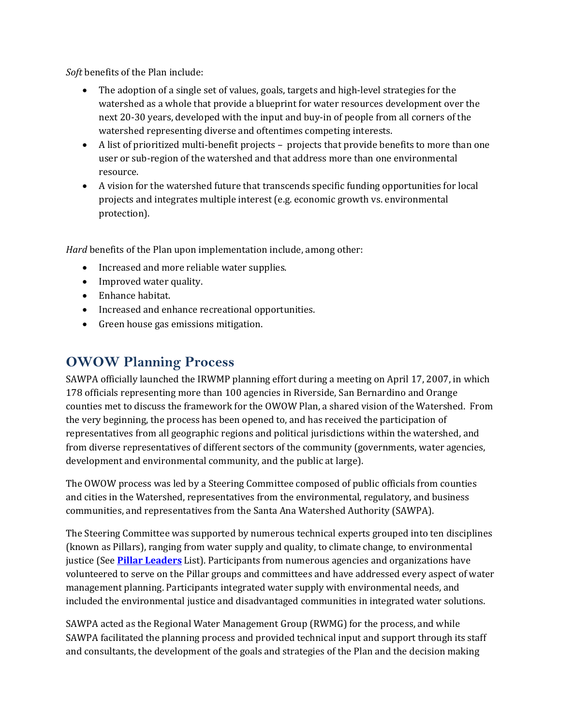*Soft* benefits of the Plan include:

- The adoption of a single set of values, goals, targets and high‐level strategies for the watershed as a whole that provide a blueprint for water resources development over the next 20‐30 years, developed with the input and buy‐in of people from all corners of the watershed representing diverse and oftentimes competing interests.
- A list of prioritized multi-benefit projects projects that provide benefits to more than one user or sub-region of the watershed and that address more than one environmental resource.
- A vision for the watershed future that transcends specific funding opportunities for local projects and integrates multiple interest (e.g. economic growth vs. environmental protection).

*Hard* benefits of the Plan upon implementation include, among other:

- Increased and more reliable water supplies.
- Improved water quality.
- Enhance habitat.
- Increased and enhance recreational opportunities.
- Green house gas emissions mitigation.

### **OWOW Planning Process**

SAWPA officially launched the IRWMP planning effort during a meeting on April 17, 2007, in which 178 officials representing more than 100 agencies in Riverside, San Bernardino and Orange counties met to discuss the framework for the OWOW Plan, a shared vision of the Watershed. From the very beginning, the process has been opened to, and has received the participation of representatives from all geographic regions and political jurisdictions within the watershed, and from diverse representatives of different sectors of the community (governments, water agencies, development and environmental community, and the public at large).

The OWOW process was led by a Steering Committee composed of public officials from counties and cities in the Watershed, representatives from the environmental, regulatory, and business communities, and representatives from the Santa Ana Watershed Authority (SAWPA).

The Steering Committee was supported by numerous technical experts grouped into ten disciplines (known as Pillars), ranging from water supply and quality, to climate change, to environmental justice (See **Pillar Leaders** List). Participants from numerous agencies and organizations have volunteered to serve on the Pillar groups and committees and have addressed every aspect of water management planning. Participants integrated water supply with environmental needs, and included the environmental justice and disadvantaged communities in integrated water solutions.

SAWPA acted as the Regional Water Management Group (RWMG) for the process, and while SAWPA facilitated the planning process and provided technical input and support through its staff and consultants, the development of the goals and strategies of the Plan and the decision making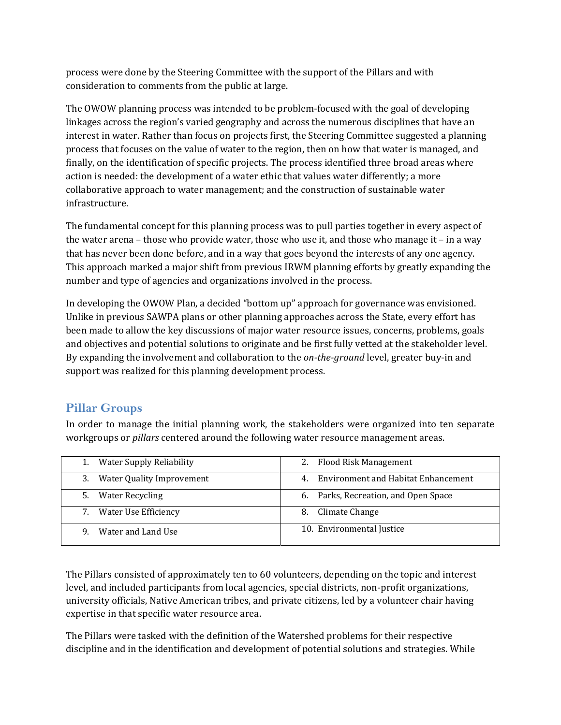process were done by the Steering Committee with the support of the Pillars and with consideration to comments from the public at large.

The OWOW planning process was intended to be problem‐focused with the goal of developing linkages across the region's varied geography and across the numerous disciplines that have an interest in water. Rather than focus on projects first, the Steering Committee suggested a planning process that focuses on the value of water to the region, then on how that water is managed, and finally, on the identification of specific projects. The process identified three broad areas where action is needed: the development of a water ethic that values water differently; a more collaborative approach to water management; and the construction of sustainable water infrastructure.

The fundamental concept for this planning process was to pull parties together in every aspect of the water arena – those who provide water, those who use it, and those who manage it – in a way that has never been done before, and in a way that goes beyond the interests of any one agency. This approach marked a major shift from previous IRWM planning efforts by greatly expanding the number and type of agencies and organizations involved in the process.

In developing the OWOW Plan, a decided "bottom up" approach for governance was envisioned. Unlike in previous SAWPA plans or other planning approaches across the State, every effort has been made to allow the key discussions of major water resource issues, concerns, problems, goals and objectives and potential solutions to originate and be first fully vetted at the stakeholder level. By expanding the involvement and collaboration to the *ontheground* level, greater buy‐in and support was realized for this planning development process.

#### **Pillar Groups**

In order to manage the initial planning work, the stakeholders were organized into ten separate workgroups or *pillars* centered around the following water resource management areas.

| <b>Water Supply Reliability</b> | 2. Flood Risk Management                  |
|---------------------------------|-------------------------------------------|
| Water Quality Improvement       | Environment and Habitat Enhancement<br>4. |
| <b>Water Recycling</b>          | 6. Parks, Recreation, and Open Space      |
| Water Use Efficiency            | Climate Change<br>8.                      |
| Water and Land Use<br>9         | 10. Environmental Justice                 |

The Pillars consisted of approximately ten to 60 volunteers, depending on the topic and interest level, and included participants from local agencies, special districts, non-profit organizations, university officials, Native American tribes, and private citizens, led by a volunteer chair having expertise in that specific water resource area.

The Pillars were tasked with the definition of the Watershed problems for their respective discipline and in the identification and development of potential solutions and strategies. While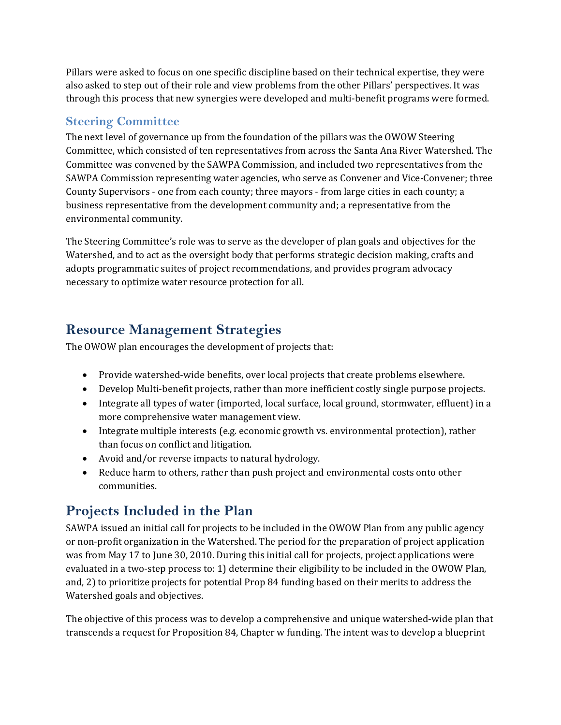Pillars were asked to focus on one specific discipline based on their technical expertise, they were also asked to step out of their role and view problems from the other Pillars' perspectives. It was through this process that new synergies were developed and multi‐benefit programs were formed.

### **Steering Committee**

The next level of governance up from the foundation of the pillars was the OWOW Steering Committee, which consisted of ten representatives from across the Santa Ana River Watershed. The Committee was convened by the SAWPA Commission, and included two representatives from the SAWPA Commission representing water agencies, who serve as Convener and Vice‐Convener; three County Supervisors ‐ one from each county; three mayors ‐ from large cities in each county; a business representative from the development community and; a representative from the environmental community.

The Steering Committee's role was to serve as the developer of plan goals and objectives for the Watershed, and to act as the oversight body that performs strategic decision making, crafts and adopts programmatic suites of project recommendations, and provides program advocacy necessary to optimize water resource protection for all.

### **Resource Management Strategies**

The OWOW plan encourages the development of projects that:

- Provide watershed-wide benefits, over local projects that create problems elsewhere.
- Develop Multi-benefit projects, rather than more inefficient costly single purpose projects.
- Integrate all types of water (imported, local surface, local ground, stormwater, effluent) in a more comprehensive water management view.
- Integrate multiple interests (e.g. economic growth vs. environmental protection), rather than focus on conflict and litigation.
- Avoid and/or reverse impacts to natural hydrology.
- Reduce harm to others, rather than push project and environmental costs onto other communities.

# **Projects Included in the Plan**

SAWPA issued an initial call for projects to be included in the OWOW Plan from any public agency or non‐profit organization in the Watershed. The period for the preparation of project application was from May 17 to June 30, 2010. During this initial call for projects, project applications were evaluated in a two‐step process to: 1) determine their eligibility to be included in the OWOW Plan, and, 2) to prioritize projects for potential Prop 84 funding based on their merits to address the Watershed goals and objectives.

The objective of this process was to develop a comprehensive and unique watershed-wide plan that transcends a request for Proposition 84, Chapter w funding. The intent was to develop a blueprint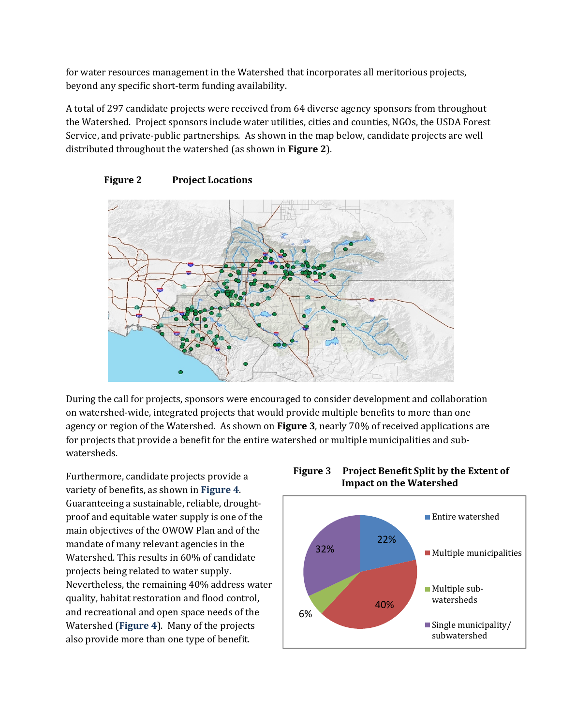for water resources management in the Watershed that incorporates all meritorious projects, beyond any specific short‐term funding availability.

A total of 297 candidate projects were received from 64 diverse agency sponsors from throughout the Watershed. Project sponsors include water utilities, cities and counties, NGOs, the USDA Forest Service, and private-public partnerships. As shown in the map below, candidate projects are well distributed throughout the watershed (as shown in **Figure 2**).





During the call for projects, sponsors were encouraged to consider development and collaboration on watershed‐wide, integrated projects that would provide multiple benefits to more than one agency or region of the Watershed. As shown on **Figure 3**, nearly 70% of received applications are for projects that provide a benefit for the entire watershed or multiple municipalities and subwatersheds.

Furthermore, candidate projects provide a variety of benefits, as shown in **Figure 4**. Guaranteeing a sustainable, reliable, drought‐ proof and equitable water supply is one of the main objectives of the OWOW Plan and of the mandate of many relevant agencies in the Watershed. This results in 60% of candidate projects being related to water supply. Nevertheless, the remaining 40% address water quality, habitat restoration and flood control, and recreational and open space needs of the Watershed (**Figure 4**). Many of the projects also provide more than one type of benefit.



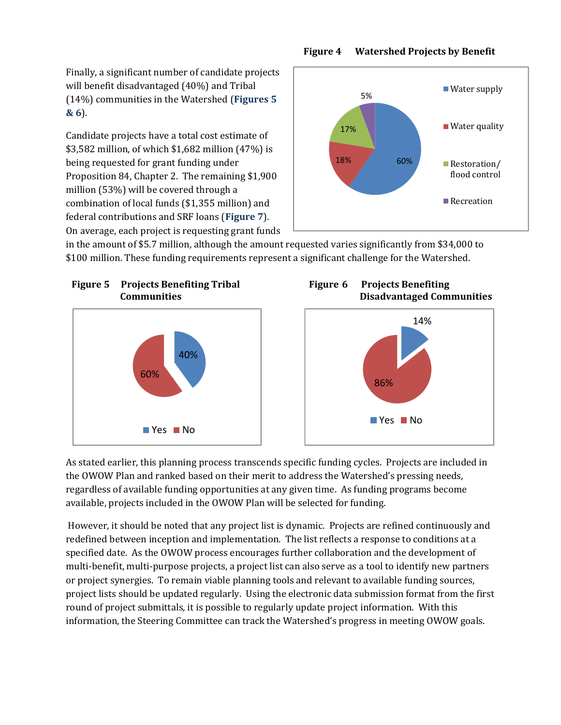Finally, a significant number of candidate projects will benefit disadvantaged (40%) and Tribal (14%) communities in the Watershed (**Figures 5 & 6**).

Candidate projects have a total cost estimate of \$3,582 million, of which \$1,682 million (47%) is being requested for grant funding under Proposition 84, Chapter 2. The remaining \$1,900 million (53%) will be covered through a combination of local funds (\$1,355 million) and federal contributions and SRF loans (**Figure 7**). On average, each project is requesting grant funds



in the amount of \$5.7 million, although the amount requested varies significantly from \$34,000 to \$100 million. These funding requirements represent a significant challenge for the Watershed.







As stated earlier, this planning process transcends specific funding cycles. Projects are included in the OWOW Plan and ranked based on their merit to address the Watershed's pressing needs, regardless of available funding opportunities at any given time. As funding programs become available, projects included in the OWOW Plan will be selected for funding.

 However, it should be noted that any project list is dynamic. Projects are refined continuously and redefined between inception and implementation. The list reflects a response to conditions at a specified date. As the OWOW process encourages further collaboration and the development of multi-benefit, multi-purpose projects, a project list can also serve as a tool to identify new partners or project synergies. To remain viable planning tools and relevant to available funding sources, project lists should be updated regularly. Using the electronic data submission format from the first round of project submittals, it is possible to regularly update project information. With this information, the Steering Committee can track the Watershed's progress in meeting OWOW goals.

#### **Figure 4 Watershed Projects by Benefit**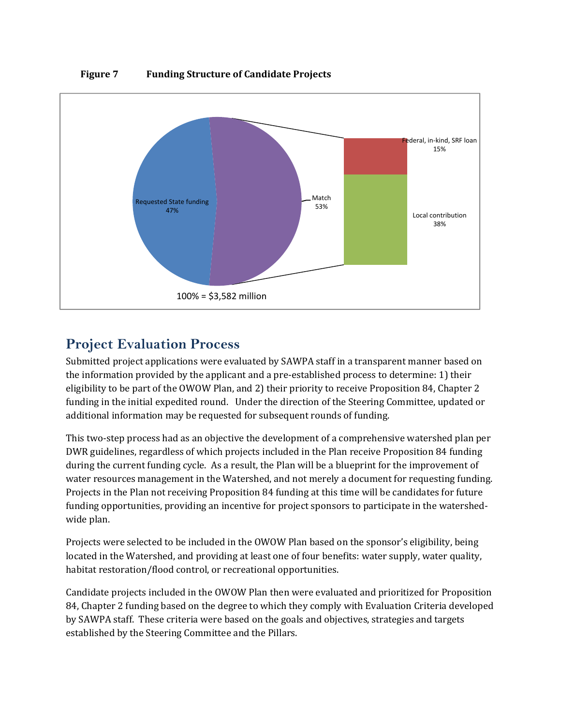

#### **Figure 7 Funding Structure of Candidate Projects**

### **Project Evaluation Process**

Submitted project applications were evaluated by SAWPA staff in a transparent manner based on the information provided by the applicant and a pre‐established process to determine: 1) their eligibility to be part of the OWOW Plan, and 2) their priority to receive Proposition 84, Chapter 2 funding in the initial expedited round. Under the direction of the Steering Committee, updated or additional information may be requested for subsequent rounds of funding.

This two‐step process had as an objective the development of a comprehensive watershed plan per DWR guidelines, regardless of which projects included in the Plan receive Proposition 84 funding during the current funding cycle. As a result, the Plan will be a blueprint for the improvement of water resources management in the Watershed, and not merely a document for requesting funding. Projects in the Plan not receiving Proposition 84 funding at this time will be candidates for future funding opportunities, providing an incentive for project sponsors to participate in the watershedwide plan.

Projects were selected to be included in the OWOW Plan based on the sponsor's eligibility, being located in the Watershed, and providing at least one of four benefits: water supply, water quality, habitat restoration/flood control, or recreational opportunities.

Candidate projects included in the OWOW Plan then were evaluated and prioritized for Proposition 84, Chapter 2 funding based on the degree to which they comply with Evaluation Criteria developed by SAWPA staff. These criteria were based on the goals and objectives, strategies and targets established by the Steering Committee and the Pillars.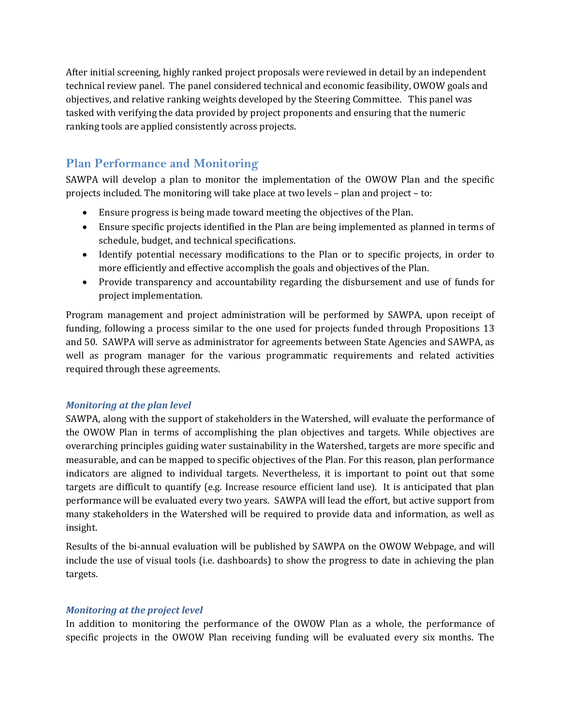After initial screening, highly ranked project proposals were reviewed in detail by an independent technical review panel. The panel considered technical and economic feasibility, OWOW goals and objectives, and relative ranking weights developed by the Steering Committee. This panel was tasked with verifying the data provided by project proponents and ensuring that the numeric ranking tools are applied consistently across projects.

#### **Plan Performance and Monitoring**

SAWPA will develop a plan to monitor the implementation of the OWOW Plan and the specific projects included. The monitoring will take place at two levels – plan and project – to:

- Ensure progress is being made toward meeting the objectives of the Plan.
- Ensure specific projects identified in the Plan are being implemented as planned in terms of schedule, budget, and technical specifications.
- Identify potential necessary modifications to the Plan or to specific projects, in order to more efficiently and effective accomplish the goals and objectives of the Plan.
- Provide transparency and accountability regarding the disbursement and use of funds for project implementation.

Program management and project administration will be performed by SAWPA, upon receipt of funding, following a process similar to the one used for projects funded through Propositions 13 and 50. SAWPA will serve as administrator for agreements between State Agencies and SAWPA, as well as program manager for the various programmatic requirements and related activities required through these agreements.

#### *Monitoring at the plan level*

SAWPA, along with the support of stakeholders in the Watershed, will evaluate the performance of the OWOW Plan in terms of accomplishing the plan objectives and targets. While objectives are overarching principles guiding water sustainability in the Watershed, targets are more specific and measurable, and can be mapped to specific objectives of the Plan. For this reason, plan performance indicators are aligned to individual targets. Nevertheless, it is important to point out that some targets are difficult to quantify (e.g. Increase resource efficient land use). It is anticipated that plan performance will be evaluated every two years. SAWPA will lead the effort, but active support from many stakeholders in the Watershed will be required to provide data and information, as well as insight.

Results of the bi-annual evaluation will be published by SAWPA on the OWOW Webpage, and will include the use of visual tools (i.e. dashboards) to show the progress to date in achieving the plan targets.

#### *Monitoring at the project level*

In addition to monitoring the performance of the OWOW Plan as a whole, the performance of specific projects in the OWOW Plan receiving funding will be evaluated every six months. The